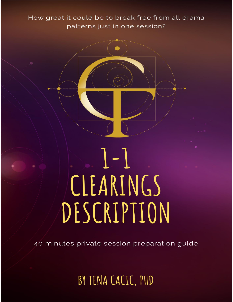How great it could be to break free from all drama patterns just in one session?

# $\lfloor - \rfloor$ CLEARINGS DESCRIPTION

40 minutes private session preparation guide

## BY TENA CACIC, PHD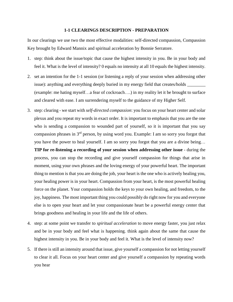#### **1-1 CLEARINGS DESCRIPTION - PREPARATION**

In our clearings we use two the most effective modalities: self-directed compassion, Compassion Key brought by Edward Mannix and spiritual acceleration by Bonnie Serratore.

- 1. step: think about the issue/topic that cause the highest intensity in you. Be in your body and feel it. What is the level of intensity? 0 equals no intensity at all 10 equals the highest intensity.
- 2. set an intention for the 1-1 session (or listening a reply of your session when addressing other issue): anything and everything deeply buried in my energy field that creates/holds \_\_\_\_\_\_\_\_\_\_\_\_\_\_\_ (example: me hating myself…a fear of cockroach….) in my reality let it be brought to surface and cleared with ease. I am surrendering myself to the guidance of my Higher Self.
- 3. step: clearing we start with *self-directed compassion*: you focus on your heart center and solar plexus and you repeat my words in exact order. It is important to emphasis that you are the one who is sending a compassion to wounded part of yourself, so it is important that you say compassion phrases in  $3<sup>rd</sup>$  person, by using word you. Example: I am so sorry you forgot that you have the power to heal yourself. I am so sorry you forgot that you are a divine being…

**TIP for re-listening a recording of your session when addressing other issue** - during the process, you can stop the recording and give yourself compassion for things that arise in moment, using your own phrases and the loving energy of your powerful heart. The important thing to mention is that you are doing the job, your heart is the one who is actively healing you, your healing power is in your heart. Compassion from your heart, is the most powerful healing force on the planet. Your compassion holds the keys to your own healing, and freedom, to the joy, happiness. The most important thing you could possibly do right now for you and everyone else is to open your heart and let your compassionate heart be a powerful energy center that brings goodness and healing in your life and the life of others.

- 4. step: at some point we transfer to *spiritual acceleration* to move energy faster, you just relax and be in your body and feel what is happening. think again about the same that cause the highest intensity in you. Be in your body and feel it. What is the level of intensity now?
- 5. If there is still an intensity around that issue, give yourself a compassion for not letting yourself to clear it all. Focus on your heart center and give yourself a compassion by repeating words you hear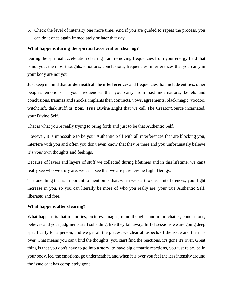6. Check the level of intensity one more time. And if you are guided to repeat the process, you can do it once again immediately or later that day

#### **What happens during the spiritual acceleration clearing?**

During the spiritual acceleration clearing I am removing frequencies from your energy field that is not you: the most thoughts, emotions, conclusions, frequencies, interferences that you carry in your body are not you.

Just keep in mind that **underneath** all the **interferences** and frequencies that include entities, other people's emotions in you, frequencies that you carry from past incarnations, beliefs and conclusions, traumas and shocks, implants then contracts, vows, agreements, black magic, voodoo, witchcraft, dark stuff, **is Your True Divine Light** that we call The Creator/Source incarnated, your Divine Self.

That is what you're really trying to bring forth and just to be that Authentic Self.

However, it is impossible to be your Authentic Self with all interferences that are blocking you, interfere with you and often you don't even know that they're there and you unfortunately believe it's your own thoughts and feelings.

Because of layers and layers of stuff we collected during lifetimes and in this lifetime, we can't really see who we truly are, we can't see that we are pure Divine Light Beings.

The one thing that is important to mention is that, when we start to clear interferences, your light increase in you, so you can literally be more of who you really are, your true Authentic Self, liberated and free.

#### **What happens after clearing?**

What happens is that memories, pictures, images, mind thoughts and mind chatter, conclusions, believes and your judgments start subsiding, like they fall away. In 1-1 sessions we are going deep specifically for a person, and we get all the pieces, we clear all aspects of the issue and then it's over. That means you can't find the thoughts, you can't find the reactions, it's gone it's over. Great thing is that you don't have to go into a story, to have big cathartic reactions, you just relax, be in your body, feel the emotions, go underneath it, and when it is over you feel the less intensity around the issue or it has completely gone.